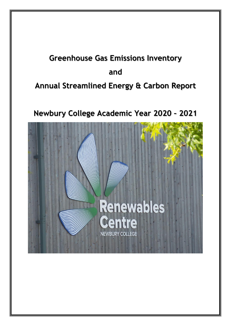# **Greenhouse Gas Emissions Inventory and Annual Streamlined Energy & Carbon Report**

**Newbury College Academic Year 2020 – 2021**

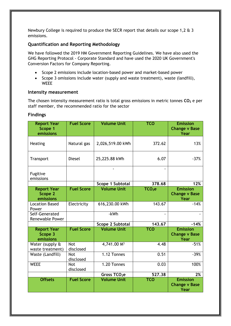Newbury College is required to produce the SECR report that details our scope 1,2 & 3 emissions.

## **Quantification and Reporting Methodology**

We have followed the 2019 HM Government Reporting Guidelines. We have also used the GHG Reporting Protocol - Corporate Standard and have used the 2020 UK Government's Conversion Factors for Company Reporting.

- Scope 2 emissions include location-based power and market-based power
- Scope 3 omissions include water (supply and waste treatment), waste (landfill), **WEEE**

#### **Intensity measurement**

The chosen intensity measurement ratio is total gross emissions in metric tonnes **CO<sup>2</sup>** e per staff member, the recommended ratio for the sector

## **Findings**

| <b>Report Year</b><br>Scope 1<br>emissions | <b>Fuel Score</b>       | <b>Volume Unit</b>       | <b>TCO</b>         | <b>Emission</b><br><b>Change v Base</b><br>Year |
|--------------------------------------------|-------------------------|--------------------------|--------------------|-------------------------------------------------|
| Heating                                    | Natural gas             | 2,026,519.00 kWh         | 372.62             | 13%                                             |
| Transport                                  | <b>Diesel</b>           | 25,225.88 kWh            | 6.07               | $-37%$                                          |
| Fugitive<br>emissions                      |                         |                          |                    |                                                 |
|                                            |                         | Scope 1 Subtotal         | 378.68             | 12%                                             |
| <b>Report Year</b><br>Scope 2<br>emissions | <b>Fuel Score</b>       | <b>Volume Unit</b>       | TCO <sub>2</sub> e | <b>Emission</b><br><b>Change v Base</b><br>Year |
| <b>Location Based</b><br>Power             | Electricity             | 616,230.00 kWh           | 143.67             | $-14%$                                          |
| Self-Generated<br><b>Renewable Power</b>   |                         | -kWh                     |                    |                                                 |
|                                            |                         | Scope 2 Subtotal         | 143.67             | $-14%$                                          |
| <b>Report Year</b><br>Scope 3<br>emissions | <b>Fuel Score</b>       | <b>Volume Unit</b>       | <b>TCO</b>         | <b>Emission</b><br><b>Change v Base</b><br>Year |
| Water (supply &<br>waste treatment)        | <b>Not</b><br>disclosed | 4,741.00 M <sup>3</sup>  | 4.48               | $-51%$                                          |
| Waste (Landfill)                           | <b>Not</b><br>disclosed | 1.12 Tonnes              | 0.51               | $-39%$                                          |
| <b>WEEE</b>                                | <b>Not</b><br>disclosed | 1.20 Tonnes              | 0.03               | 100%                                            |
|                                            |                         | Gross TCO <sub>2</sub> e | 527.38             | 2%                                              |
| <b>Offsets</b>                             | <b>Fuel Score</b>       | <b>Volume Unit</b>       | <b>TCO</b>         | <b>Emission</b><br><b>Change v Base</b><br>Year |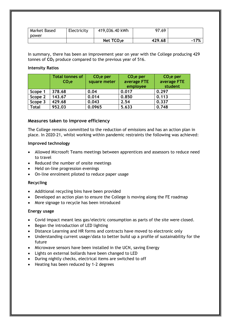| Market Based | Electricity | 419,036.40 kWh | 97.69  |     |
|--------------|-------------|----------------|--------|-----|
| power        |             |                |        |     |
|              |             | Net $TCO2e$    | 429.68 | 17% |

In summary, there has been an improvement year on year with the College producing 429 tonnes of **CO<sup>2</sup>** produce compared to the previous year of 516.

#### **Intensity Ratios**

|              | <b>Total tonnes of</b><br>CO <sub>2</sub> e | CO <sub>2</sub> e per<br>square meter | CO <sub>2</sub> e per<br>average FTE<br>employee | CO <sub>2</sub> e per<br>average FTE<br>student |
|--------------|---------------------------------------------|---------------------------------------|--------------------------------------------------|-------------------------------------------------|
| Scope 1      | 378.68                                      | 0.04                                  | 0.017                                            | 0.297                                           |
| Scope 2      | 143.67                                      | 0.014                                 | 0.850                                            | 0.113                                           |
| Scope 3      | 429.68                                      | 0.043                                 | 2.54                                             | 0.337                                           |
| <b>Total</b> | 952.03                                      | 0.0965                                | 5.633                                            | 0.748                                           |

#### **Measures taken to improve efficiency**

The College remains committed to the reduction of emissions and has an action plan in place. In 2020-21, whilst working within pandemic restraints the following was achieved:

#### **Improved technology**

- Allowed Microsoft Teams meetings between apprentices and assessors to reduce need to travel
- Reduced the number of onsite meetings
- Held on-line progression evenings
- On-line enrolment piloted to reduce paper usage

#### **Recycling**

- Additional recycling bins have been provided
- Developed an action plan to ensure the College is moving along the FE roadmap
- More signage to recycle has been introduced

#### **Energy usage**

- Covid impact meant less gas/electric consumption as parts of the site were closed.
- Began the introduction of LED lighting
- Distance Learning and HR forms and contracts have moved to electronic only
- Understanding current usage/data to better build up a profile of sustainability for the future
- Microwave sensors have been installed in the UCN, saving Energy
- Lights on external bollards have been changed to LED
- During nightly checks, electrical items are switched to off
- Heating has been reduced by 1-2 degrees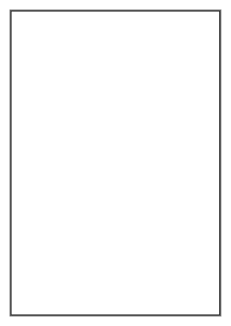